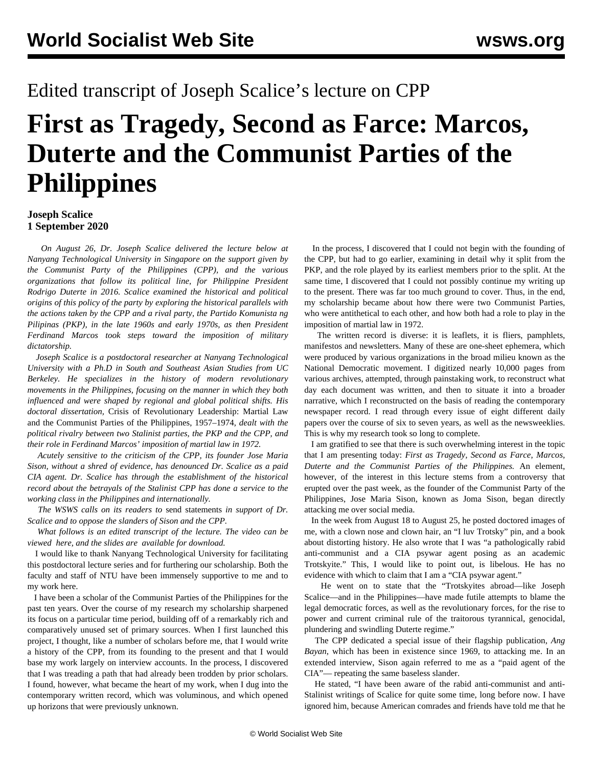## Edited transcript of Joseph Scalice's lecture on CPP

# **First as Tragedy, Second as Farce: Marcos, Duterte and the Communist Parties of the Philippines**

#### **Joseph Scalice 1 September 2020**

 *On August 26, Dr. Joseph Scalice delivered the lecture below at Nanyang Technological University in Singapore on the support given by the Communist Party of the Philippines (CPP), and the various organizations that follow its political line, for Philippine President Rodrigo Duterte in 2016. Scalice examined the historical and political origins of this policy of the party by exploring the historical parallels with the actions taken by the CPP and a rival party, the Partido Komunista ng Pilipinas (PKP), in the late 1960s and early 1970s, as then President Ferdinand Marcos took steps toward the imposition of military dictatorship.*

 *Joseph Scalice is a postdoctoral researcher at Nanyang Technological University with a Ph.D in South and Southeast Asian Studies from UC Berkeley. He specializes in the history of modern revolutionary movements in the Philippines, focusing on the manner in which they both influenced and were shaped by regional and global political shifts. His doctoral dissertation,* Crisis of Revolutionary Leadership: Martial Law and the Communist Parties of the Philippines, 1957–1974*, dealt with the political rivalry between two Stalinist parties, the PKP and the CPP, and their role in Ferdinand Marcos' imposition of martial law in 1972.*

 *Acutely sensitive to the criticism of the CPP, its founder Jose Maria Sison, without a shred of evidence, has denounced Dr. Scalice as a paid CIA agent. Dr. Scalice has through the establishment of the historical record about the betrayals of the Stalinist CPP has done a service to the working class in the Philippines and internationally.*

 *The WSWS calls on its readers to* [send statements](/en/special/contact.html) *in support of Dr. Scalice and to oppose the slanders of Sison and the CPP.*

 *What follows is an edited transcript of the lecture. The video can be viewed [here,](https://youtu.be/kYXCRIRKRyU) and the slides are [available for download.](https://www.dropbox.com/s/vazcfjgfv5ph6nr/slides.pdf?dl=0)*

 I would like to thank Nanyang Technological University for facilitating this postdoctoral lecture series and for furthering our scholarship. Both the faculty and staff of NTU have been immensely supportive to me and to my work here.

 I have been a scholar of the Communist Parties of the Philippines for the past ten years. Over the course of my research my scholarship sharpened its focus on a particular time period, building off of a remarkably rich and comparatively unused set of primary sources. When I first launched this project, I thought, like a number of scholars before me, that I would write a history of the CPP, from its founding to the present and that I would base my work largely on interview accounts. In the process, I discovered that I was treading a path that had already been trodden by prior scholars. I found, however, what became the heart of my work, when I dug into the contemporary written record, which was voluminous, and which opened up horizons that were previously unknown.

 In the process, I discovered that I could not begin with the founding of the CPP, but had to go earlier, examining in detail why it split from the PKP, and the role played by its earliest members prior to the split. At the same time, I discovered that I could not possibly continue my writing up to the present. There was far too much ground to cover. Thus, in the end, my scholarship became about how there were two Communist Parties, who were antithetical to each other, and how both had a role to play in the imposition of martial law in 1972.

 The written record is diverse: it is leaflets, it is fliers, pamphlets, manifestos and newsletters. Many of these are one-sheet ephemera, which were produced by various organizations in the broad milieu known as the National Democratic movement. I digitized nearly 10,000 pages from various archives, attempted, through painstaking work, to reconstruct what day each document was written, and then to situate it into a broader narrative, which I reconstructed on the basis of reading the contemporary newspaper record. I read through every issue of eight different daily papers over the course of six to seven years, as well as the newsweeklies. This is why my research took so long to complete.

 I am gratified to see that there is such overwhelming interest in the topic that I am presenting today: *First as Tragedy, Second as Farce*, *Marcos, Duterte and the Communist Parties of the Philippines.* An element, however, of the interest in this lecture stems from a controversy that erupted over the past week, as the founder of the Communist Party of the Philippines, Jose Maria Sison, known as Joma Sison, began directly attacking me over social media.

 In the week from August 18 to August 25, he posted doctored images of me, with a clown nose and clown hair, an "I luv Trotsky" pin, and a book about distorting history. He also wrote that I was "a pathologically rabid anti-communist and a CIA psywar agent posing as an academic Trotskyite." This, I would like to point out, is libelous. He has no evidence with which to claim that I am a "CIA psywar agent."

 He went on to state that the "Trotskyites abroad—like Joseph Scalice—and in the Philippines—have made futile attempts to blame the legal democratic forces, as well as the revolutionary forces, for the rise to power and current criminal rule of the traitorous tyrannical, genocidal, plundering and swindling Duterte regime."

 The CPP dedicated a special issue of their flagship publication, *Ang Bayan*, which has been in existence since 1969, to attacking me. In an extended interview, Sison again referred to me as a "paid agent of the CIA"— repeating the same baseless slander.

 He stated, "I have been aware of the rabid anti-communist and anti-Stalinist writings of Scalice for quite some time, long before now. I have ignored him, because American comrades and friends have told me that he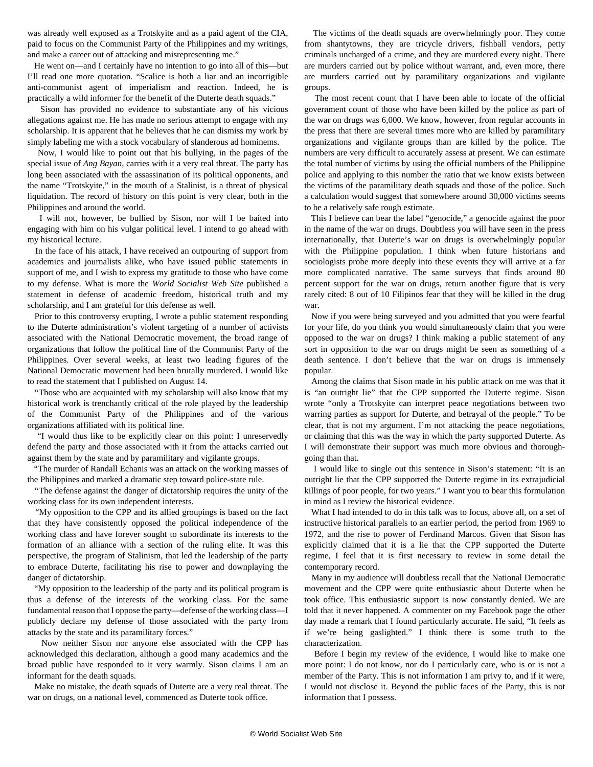was already well exposed as a Trotskyite and as a paid agent of the CIA, paid to focus on the Communist Party of the Philippines and my writings, and make a career out of attacking and misrepresenting me."

 He went on—and I certainly have no intention to go into all of this—but I'll read one more quotation. "Scalice is both a liar and an incorrigible anti-communist agent of imperialism and reaction. Indeed, he is practically a wild informer for the benefit of the Duterte death squads."

 Sison has provided no evidence to substantiate any of his vicious allegations against me. He has made no serious attempt to engage with my scholarship. It is apparent that he believes that he can dismiss my work by simply labeling me with a stock vocabulary of slanderous ad hominems.

 Now, I would like to point out that his bullying, in the pages of the special issue of *Ang Bayan*, carries with it a very real threat. The party has long been associated with the assassination of its political opponents, and the name "Trotskyite," in the mouth of a Stalinist, is a threat of physical liquidation. The record of history on this point is very clear, both in the Philippines and around the world.

 I will not, however, be bullied by Sison, nor will I be baited into engaging with him on his vulgar political level. I intend to go ahead with my historical lecture.

 In the face of his attack, I have received an outpouring of support from academics and journalists alike, who have issued public statements in support of me, and I wish to express my gratitude to those who have come to my defense. What is more the *World Socialist Web Site* published a statement in defense of academic freedom, historical truth and my scholarship, and I am grateful for this defense as well.

 Prior to this controversy erupting, I wrote a public statement responding to the Duterte administration's violent targeting of a number of activists associated with the National Democratic movement, the broad range of organizations that follow the political line of the Communist Party of the Philippines. Over several weeks, at least two leading figures of the National Democratic movement had been brutally murdered. I would like to read the statement that I published on August 14.

 "Those who are acquainted with my scholarship will also know that my historical work is trenchantly critical of the role played by the leadership of the Communist Party of the Philippines and of the various organizations affiliated with its political line.

 "I would thus like to be explicitly clear on this point: I unreservedly defend the party and those associated with it from the attacks carried out against them by the state and by paramilitary and vigilante groups.

 "The murder of Randall Echanis was an attack on the working masses of the Philippines and marked a dramatic step toward police-state rule.

 "The defense against the danger of dictatorship requires the unity of the working class for its own independent interests.

 "My opposition to the CPP and its allied groupings is based on the fact that they have consistently opposed the political independence of the working class and have forever sought to subordinate its interests to the formation of an alliance with a section of the ruling elite. It was this perspective, the program of Stalinism, that led the leadership of the party to embrace Duterte, facilitating his rise to power and downplaying the danger of dictatorship.

 "My opposition to the leadership of the party and its political program is thus a defense of the interests of the working class. For the same fundamental reason that I oppose the party—defense of the working class—I publicly declare my defense of those associated with the party from attacks by the state and its paramilitary forces."

 Now neither Sison nor anyone else associated with the CPP has acknowledged this declaration, although a good many academics and the broad public have responded to it very warmly. Sison claims I am an informant for the death squads.

 Make no mistake, the death squads of Duterte are a very real threat. The war on drugs, on a national level, commenced as Duterte took office.

 The victims of the death squads are overwhelmingly poor. They come from shantytowns, they are tricycle drivers, fishball vendors, petty criminals uncharged of a crime, and they are murdered every night. There are murders carried out by police without warrant, and, even more, there are murders carried out by paramilitary organizations and vigilante groups.

 The most recent count that I have been able to locate of the official government count of those who have been killed by the police as part of the war on drugs was 6,000. We know, however, from regular accounts in the press that there are several times more who are killed by paramilitary organizations and vigilante groups than are killed by the police. The numbers are very difficult to accurately assess at present. We can estimate the total number of victims by using the official numbers of the Philippine police and applying to this number the ratio that we know exists between the victims of the paramilitary death squads and those of the police. Such a calculation would suggest that somewhere around 30,000 victims seems to be a relatively safe rough estimate.

 This I believe can bear the label "genocide," a genocide against the poor in the name of the war on drugs. Doubtless you will have seen in the press internationally, that Duterte's war on drugs is overwhelmingly popular with the Philippine population. I think when future historians and sociologists probe more deeply into these events they will arrive at a far more complicated narrative. The same surveys that finds around 80 percent support for the war on drugs, return another figure that is very rarely cited: 8 out of 10 Filipinos fear that they will be killed in the drug war.

 Now if you were being surveyed and you admitted that you were fearful for your life, do you think you would simultaneously claim that you were opposed to the war on drugs? I think making a public statement of any sort in opposition to the war on drugs might be seen as something of a death sentence. I don't believe that the war on drugs is immensely popular.

 Among the claims that Sison made in his public attack on me was that it is "an outright lie" that the CPP supported the Duterte regime. Sison wrote "only a Trotskyite can interpret peace negotiations between two warring parties as support for Duterte, and betrayal of the people." To be clear, that is not my argument. I'm not attacking the peace negotiations, or claiming that this was the way in which the party supported Duterte. As I will demonstrate their support was much more obvious and thoroughgoing than that.

 I would like to single out this sentence in Sison's statement: "It is an outright lie that the CPP supported the Duterte regime in its extrajudicial killings of poor people, for two years." I want you to bear this formulation in mind as I review the historical evidence.

 What I had intended to do in this talk was to focus, above all, on a set of instructive historical parallels to an earlier period, the period from 1969 to 1972, and the rise to power of Ferdinand Marcos. Given that Sison has explicitly claimed that it is a lie that the CPP supported the Duterte regime, I feel that it is first necessary to review in some detail the contemporary record.

 Many in my audience will doubtless recall that the National Democratic movement and the CPP were quite enthusiastic about Duterte when he took office. This enthusiastic support is now constantly denied. We are told that it never happened. A commenter on my Facebook page the other day made a remark that I found particularly accurate. He said, "It feels as if we're being gaslighted." I think there is some truth to the characterization.

 Before I begin my review of the evidence, I would like to make one more point: I do not know, nor do I particularly care, who is or is not a member of the Party. This is not information I am privy to, and if it were, I would not disclose it. Beyond the public faces of the Party, this is not information that I possess.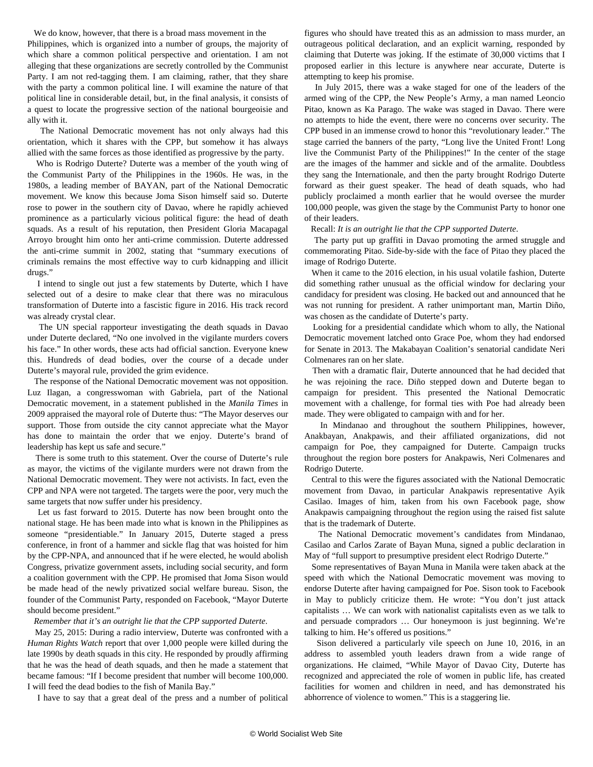We do know, however, that there is a broad mass movement in the Philippines, which is organized into a number of groups, the majority of which share a common political perspective and orientation. I am not alleging that these organizations are secretly controlled by the Communist Party. I am not red-tagging them. I am claiming, rather, that they share with the party a common political line. I will examine the nature of that political line in considerable detail, but, in the final analysis, it consists of a quest to locate the progressive section of the national bourgeoisie and ally with it.

 The National Democratic movement has not only always had this orientation, which it shares with the CPP, but somehow it has always allied with the same forces as those identified as progressive by the party.

 Who is Rodrigo Duterte? Duterte was a member of the youth wing of the Communist Party of the Philippines in the 1960s. He was, in the 1980s, a leading member of BAYAN, part of the National Democratic movement. We know this because Joma Sison himself said so. Duterte rose to power in the southern city of Davao, where he rapidly achieved prominence as a particularly vicious political figure: the head of death squads. As a result of his reputation, then President Gloria Macapagal Arroyo brought him onto her anti-crime commission. Duterte addressed the anti-crime summit in 2002, stating that "summary executions of criminals remains the most effective way to curb kidnapping and illicit drugs."

 I intend to single out just a few statements by Duterte, which I have selected out of a desire to make clear that there was no miraculous transformation of Duterte into a fascistic figure in 2016. His track record was already crystal clear.

 The UN special rapporteur investigating the death squads in Davao under Duterte declared, "No one involved in the vigilante murders covers his face." In other words, these acts had official sanction. Everyone knew this. Hundreds of dead bodies, over the course of a decade under Duterte's mayoral rule, provided the grim evidence.

 The response of the National Democratic movement was not opposition. Luz Ilagan, a congresswoman with Gabriela, part of the National Democratic movement, in a statement published in the *Manila Times* in 2009 appraised the mayoral role of Duterte thus: "The Mayor deserves our support. Those from outside the city cannot appreciate what the Mayor has done to maintain the order that we enjoy. Duterte's brand of leadership has kept us safe and secure."

 There is some truth to this statement. Over the course of Duterte's rule as mayor, the victims of the vigilante murders were not drawn from the National Democratic movement. They were not activists. In fact, even the CPP and NPA were not targeted. The targets were the poor, very much the same targets that now suffer under his presidency.

 Let us fast forward to 2015. Duterte has now been brought onto the national stage. He has been made into what is known in the Philippines as someone "presidentiable." In January 2015, Duterte staged a press conference, in front of a hammer and sickle flag that was hoisted for him by the CPP-NPA, and announced that if he were elected, he would abolish Congress, privatize government assets, including social security, and form a coalition government with the CPP. He promised that Joma Sison would be made head of the newly privatized social welfare bureau. Sison, the founder of the Communist Party, responded on Facebook, "Mayor Duterte should become president."

#### *Remember that it's an outright lie that the CPP supported Duterte*.

 May 25, 2015: During a radio interview, Duterte was confronted with a *Human Rights Watch* report that over 1,000 people were killed during the late 1990s by death squads in this city. He responded by proudly affirming that he was the head of death squads, and then he made a statement that became famous: "If I become president that number will become 100,000. I will feed the dead bodies to the fish of Manila Bay."

I have to say that a great deal of the press and a number of political

figures who should have treated this as an admission to mass murder, an outrageous political declaration, and an explicit warning, responded by claiming that Duterte was joking. If the estimate of 30,000 victims that I proposed earlier in this lecture is anywhere near accurate, Duterte is attempting to keep his promise.

 In July 2015, there was a wake staged for one of the leaders of the armed wing of the CPP, the New People's Army, a man named Leoncio Pitao, known as Ka Parago. The wake was staged in Davao. There were no attempts to hide the event, there were no concerns over security. The CPP bused in an immense crowd to honor this "revolutionary leader." The stage carried the banners of the party, "Long live the United Front! Long live the Communist Party of the Philippines!" In the center of the stage are the images of the hammer and sickle and of the armalite. Doubtless they sang the Internationale, and then the party brought Rodrigo Duterte forward as their guest speaker. The head of death squads, who had publicly proclaimed a month earlier that he would oversee the murder 100,000 people, was given the stage by the Communist Party to honor one of their leaders.

#### Recall: *It is an outright lie that the CPP supported Duterte*.

 The party put up graffiti in Davao promoting the armed struggle and commemorating Pitao. Side-by-side with the face of Pitao they placed the image of Rodrigo Duterte.

 When it came to the 2016 election, in his usual volatile fashion, Duterte did something rather unusual as the official window for declaring your candidacy for president was closing. He backed out and announced that he was not running for president. A rather unimportant man, Martin Diño, was chosen as the candidate of Duterte's party.

 Looking for a presidential candidate which whom to ally, the National Democratic movement latched onto Grace Poe, whom they had endorsed for Senate in 2013. The Makabayan Coalition's senatorial candidate Neri Colmenares ran on her slate.

 Then with a dramatic flair, Duterte announced that he had decided that he was rejoining the race. Diño stepped down and Duterte began to campaign for president. This presented the National Democratic movement with a challenge, for formal ties with Poe had already been made. They were obligated to campaign with and for her.

 In Mindanao and throughout the southern Philippines, however, Anakbayan, Anakpawis, and their affiliated organizations, did not campaign for Poe, they campaigned for Duterte. Campaign trucks throughout the region bore posters for Anakpawis, Neri Colmenares and Rodrigo Duterte.

 Central to this were the figures associated with the National Democratic movement from Davao, in particular Anakpawis representative Ayik Casilao. Images of him, taken from his own Facebook page, show Anakpawis campaigning throughout the region using the raised fist salute that is the trademark of Duterte.

 The National Democratic movement's candidates from Mindanao, Casilao and Carlos Zarate of Bayan Muna, signed a public declaration in May of "full support to presumptive president elect Rodrigo Duterte."

 Some representatives of Bayan Muna in Manila were taken aback at the speed with which the National Democratic movement was moving to endorse Duterte after having campaigned for Poe. Sison took to Facebook in May to publicly criticize them. He wrote: "You don't just attack capitalists … We can work with nationalist capitalists even as we talk to and persuade compradors … Our honeymoon is just beginning. We're talking to him. He's offered us positions."

 Sison delivered a particularly vile speech on June 10, 2016, in an address to assembled youth leaders drawn from a wide range of organizations. He claimed, "While Mayor of Davao City, Duterte has recognized and appreciated the role of women in public life, has created facilities for women and children in need, and has demonstrated his abhorrence of violence to women." This is a staggering lie.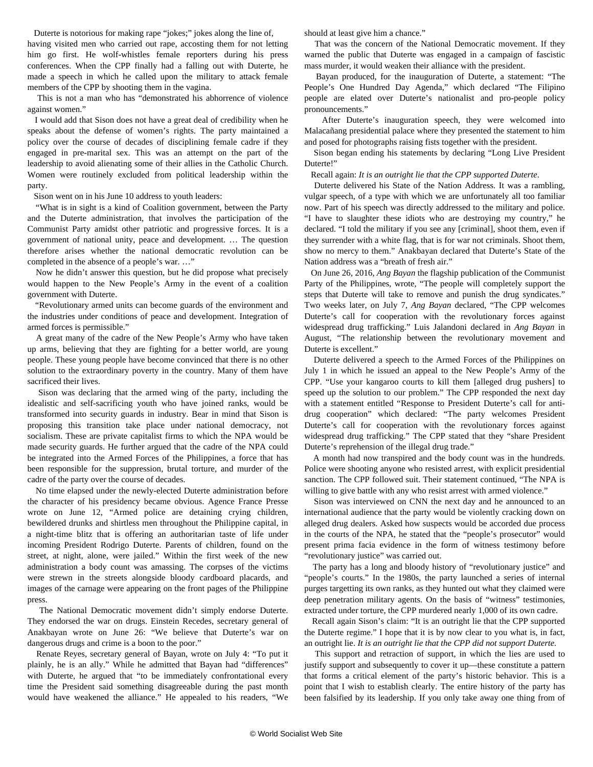Duterte is notorious for making rape "jokes;" jokes along the line of,

having visited men who carried out rape, accosting them for not letting him go first. He wolf-whistles female reporters during his press conferences. When the CPP finally had a falling out with Duterte, he made a speech in which he called upon the military to attack female members of the CPP by shooting them in the vagina.

 This is not a man who has "demonstrated his abhorrence of violence against women."

 I would add that Sison does not have a great deal of credibility when he speaks about the defense of women's rights. The party maintained a policy over the course of decades of disciplining female cadre if they engaged in pre-marital sex. This was an attempt on the part of the leadership to avoid alienating some of their allies in the Catholic Church. Women were routinely excluded from political leadership within the party.

Sison went on in his June 10 address to youth leaders:

 "What is in sight is a kind of Coalition government, between the Party and the Duterte administration, that involves the participation of the Communist Party amidst other patriotic and progressive forces. It is a government of national unity, peace and development. … The question therefore arises whether the national democratic revolution can be completed in the absence of a people's war. …"

 Now he didn't answer this question, but he did propose what precisely would happen to the New People's Army in the event of a coalition government with Duterte.

 "Revolutionary armed units can become guards of the environment and the industries under conditions of peace and development. Integration of armed forces is permissible."

 A great many of the cadre of the New People's Army who have taken up arms, believing that they are fighting for a better world, are young people. These young people have become convinced that there is no other solution to the extraordinary poverty in the country. Many of them have sacrificed their lives.

 Sison was declaring that the armed wing of the party, including the idealistic and self-sacrificing youth who have joined ranks, would be transformed into security guards in industry. Bear in mind that Sison is proposing this transition take place under national democracy, not socialism. These are private capitalist firms to which the NPA would be made security guards. He further argued that the cadre of the NPA could be integrated into the Armed Forces of the Philippines, a force that has been responsible for the suppression, brutal torture, and murder of the cadre of the party over the course of decades.

 No time elapsed under the newly-elected Duterte administration before the character of his presidency became obvious. Agence France Presse wrote on June 12, "Armed police are detaining crying children, bewildered drunks and shirtless men throughout the Philippine capital, in a night-time blitz that is offering an authoritarian taste of life under incoming President Rodrigo Duterte. Parents of children, found on the street, at night, alone, were jailed." Within the first week of the new administration a body count was amassing. The corpses of the victims were strewn in the streets alongside bloody cardboard placards, and images of the carnage were appearing on the front pages of the Philippine press.

 The National Democratic movement didn't simply endorse Duterte. They endorsed the war on drugs. Einstein Recedes, secretary general of Anakbayan wrote on June 26: "We believe that Duterte's war on dangerous drugs and crime is a boon to the poor."

 Renate Reyes, secretary general of Bayan, wrote on July 4: "To put it plainly, he is an ally." While he admitted that Bayan had "differences" with Duterte, he argued that "to be immediately confrontational every time the President said something disagreeable during the past month would have weakened the alliance." He appealed to his readers, "We should at least give him a chance."

 That was the concern of the National Democratic movement. If they warned the public that Duterte was engaged in a campaign of fascistic mass murder, it would weaken their alliance with the president.

 Bayan produced, for the inauguration of Duterte, a statement: "The People's One Hundred Day Agenda," which declared "The Filipino people are elated over Duterte's nationalist and pro-people policy pronouncements."

 After Duterte's inauguration speech, they were welcomed into Malacañang presidential palace where they presented the statement to him and posed for photographs raising fists together with the president.

 Sison began ending his statements by declaring "Long Live President Duterte!"

Recall again: *It is an outright lie that the CPP supported Duterte*.

 Duterte delivered his State of the Nation Address. It was a rambling, vulgar speech, of a type with which we are unfortunately all too familiar now. Part of his speech was directly addressed to the military and police. "I have to slaughter these idiots who are destroying my country," he declared. "I told the military if you see any [criminal], shoot them, even if they surrender with a white flag, that is for war not criminals. Shoot them, show no mercy to them." Anakbayan declared that Duterte's State of the Nation address was a "breath of fresh air."

 On June 26, 2016, *Ang Bayan* the flagship publication of the Communist Party of the Philippines, wrote, "The people will completely support the steps that Duterte will take to remove and punish the drug syndicates." Two weeks later, on July 7, *Ang Bayan* declared, "The CPP welcomes Duterte's call for cooperation with the revolutionary forces against widespread drug trafficking." Luis Jalandoni declared in *Ang Bayan* in August, "The relationship between the revolutionary movement and Duterte is excellent."

 Duterte delivered a speech to the Armed Forces of the Philippines on July 1 in which he issued an appeal to the New People's Army of the CPP. "Use your kangaroo courts to kill them [alleged drug pushers] to speed up the solution to our problem." The CPP responded the next day with a statement entitled "Response to President Duterte's call for antidrug cooperation" which declared: "The party welcomes President Duterte's call for cooperation with the revolutionary forces against widespread drug trafficking." The CPP stated that they "share President Duterte's reprehension of the illegal drug trade."

 A month had now transpired and the body count was in the hundreds. Police were shooting anyone who resisted arrest, with explicit presidential sanction. The CPP followed suit. Their statement continued, "The NPA is willing to give battle with any who resist arrest with armed violence."

 Sison was interviewed on CNN the next day and he announced to an international audience that the party would be violently cracking down on alleged drug dealers. Asked how suspects would be accorded due process in the courts of the NPA, he stated that the "people's prosecutor" would present prima facia evidence in the form of witness testimony before "revolutionary justice" was carried out.

 The party has a long and bloody history of "revolutionary justice" and "people's courts." In the 1980s, the party launched a series of internal purges targetting its own ranks, as they hunted out what they claimed were deep penetration military agents. On the basis of "witness" testimonies, extracted under torture, the CPP murdered nearly 1,000 of its own cadre.

 Recall again Sison's claim: "It is an outright lie that the CPP supported the Duterte regime." I hope that it is by now clear to you what is, in fact, an outright lie. *It is an outright lie that the CPP did not support Duterte.*

 This support and retraction of support, in which the lies are used to justify support and subsequently to cover it up—these constitute a pattern that forms a critical element of the party's historic behavior. This is a point that I wish to establish clearly. The entire history of the party has been falsified by its leadership. If you only take away one thing from of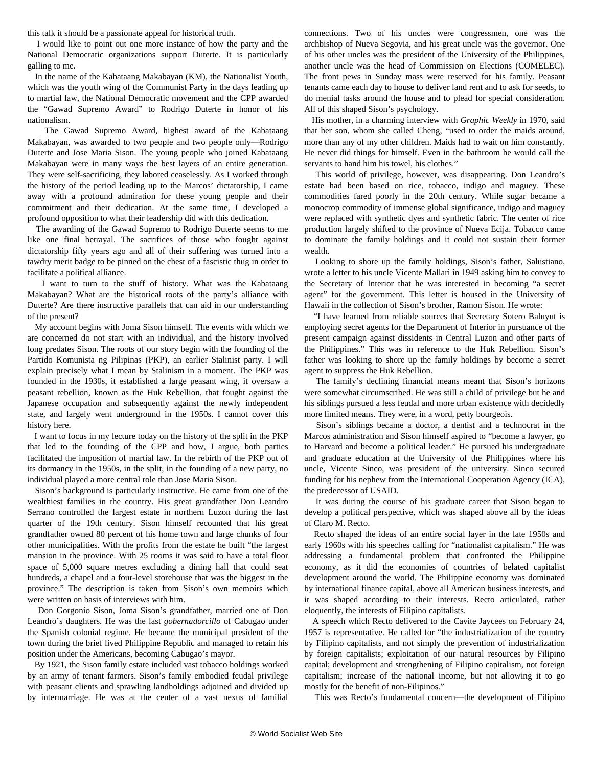this talk it should be a passionate appeal for historical truth.

 I would like to point out one more instance of how the party and the National Democratic organizations support Duterte. It is particularly galling to me.

 In the name of the Kabataang Makabayan (KM), the Nationalist Youth, which was the youth wing of the Communist Party in the days leading up to martial law, the National Democratic movement and the CPP awarded the "Gawad Supremo Award" to Rodrigo Duterte in honor of his nationalism.

 The Gawad Supremo Award, highest award of the Kabataang Makabayan, was awarded to two people and two people only—Rodrigo Duterte and Jose Maria Sison. The young people who joined Kabataang Makabayan were in many ways the best layers of an entire generation. They were self-sacrificing, they labored ceaselessly. As I worked through the history of the period leading up to the Marcos' dictatorship, I came away with a profound admiration for these young people and their commitment and their dedication. At the same time, I developed a profound opposition to what their leadership did with this dedication.

 The awarding of the Gawad Supremo to Rodrigo Duterte seems to me like one final betrayal. The sacrifices of those who fought against dictatorship fifty years ago and all of their suffering was turned into a tawdry merit badge to be pinned on the chest of a fascistic thug in order to facilitate a political alliance.

 I want to turn to the stuff of history. What was the Kabataang Makabayan? What are the historical roots of the party's alliance with Duterte? Are there instructive parallels that can aid in our understanding of the present?

 My account begins with Joma Sison himself. The events with which we are concerned do not start with an individual, and the history involved long predates Sison. The roots of our story begin with the founding of the Partido Komunista ng Pilipinas (PKP), an earlier Stalinist party. I will explain precisely what I mean by Stalinism in a moment. The PKP was founded in the 1930s, it established a large peasant wing, it oversaw a peasant rebellion, known as the Huk Rebellion, that fought against the Japanese occupation and subsequently against the newly independent state, and largely went underground in the 1950s. I cannot cover this history here.

 I want to focus in my lecture today on the history of the split in the PKP that led to the founding of the CPP and how, I argue, both parties facilitated the imposition of martial law. In the rebirth of the PKP out of its dormancy in the 1950s, in the split, in the founding of a new party, no individual played a more central role than Jose Maria Sison.

 Sison's background is particularly instructive. He came from one of the wealthiest families in the country. His great grandfather Don Leandro Serrano controlled the largest estate in northern Luzon during the last quarter of the 19th century. Sison himself recounted that his great grandfather owned 80 percent of his home town and large chunks of four other municipalities. With the profits from the estate he built "the largest mansion in the province. With 25 rooms it was said to have a total floor space of 5,000 square metres excluding a dining hall that could seat hundreds, a chapel and a four-level storehouse that was the biggest in the province." The description is taken from Sison's own memoirs which were written on basis of interviews with him.

 Don Gorgonio Sison, Joma Sison's grandfather, married one of Don Leandro's daughters. He was the last *gobernadorcillo* of Cabugao under the Spanish colonial regime. He became the municipal president of the town during the brief lived Philippine Republic and managed to retain his position under the Americans, becoming Cabugao's mayor.

 By 1921, the Sison family estate included vast tobacco holdings worked by an army of tenant farmers. Sison's family embodied feudal privilege with peasant clients and sprawling landholdings adjoined and divided up by intermarriage. He was at the center of a vast nexus of familial

connections. Two of his uncles were congressmen, one was the archbishop of Nueva Segovia, and his great uncle was the governor. One of his other uncles was the president of the University of the Philippines, another uncle was the head of Commission on Elections (COMELEC). The front pews in Sunday mass were reserved for his family. Peasant tenants came each day to house to deliver land rent and to ask for seeds, to do menial tasks around the house and to plead for special consideration. All of this shaped Sison's psychology.

 His mother, in a charming interview with *Graphic Weekly* in 1970, said that her son, whom she called Cheng, "used to order the maids around, more than any of my other children. Maids had to wait on him constantly. He never did things for himself. Even in the bathroom he would call the servants to hand him his towel, his clothes."

 This world of privilege, however, was disappearing. Don Leandro's estate had been based on rice, tobacco, indigo and maguey. These commodities fared poorly in the 20th century. While sugar became a monocrop commodity of immense global significance, indigo and maguey were replaced with synthetic dyes and synthetic fabric. The center of rice production largely shifted to the province of Nueva Ecija. Tobacco came to dominate the family holdings and it could not sustain their former wealth.

 Looking to shore up the family holdings, Sison's father, Salustiano, wrote a letter to his uncle Vicente Mallari in 1949 asking him to convey to the Secretary of Interior that he was interested in becoming "a secret agent" for the government. This letter is housed in the University of Hawaii in the collection of Sison's brother, Ramon Sison. He wrote:

 "I have learned from reliable sources that Secretary Sotero Baluyut is employing secret agents for the Department of Interior in pursuance of the present campaign against dissidents in Central Luzon and other parts of the Philippines." This was in reference to the Huk Rebellion. Sison's father was looking to shore up the family holdings by become a secret agent to suppress the Huk Rebellion.

 The family's declining financial means meant that Sison's horizons were somewhat circumscribed. He was still a child of privilege but he and his siblings pursued a less feudal and more urban existence with decidedly more limited means. They were, in a word, petty bourgeois.

 Sison's siblings became a doctor, a dentist and a technocrat in the Marcos administration and Sison himself aspired to "become a lawyer, go to Harvard and become a political leader." He pursued his undergraduate and graduate education at the University of the Philippines where his uncle, Vicente Sinco, was president of the university. Sinco secured funding for his nephew from the International Cooperation Agency (ICA), the predecessor of USAID.

 It was during the course of his graduate career that Sison began to develop a political perspective, which was shaped above all by the ideas of Claro M. Recto.

 Recto shaped the ideas of an entire social layer in the late 1950s and early 1960s with his speeches calling for "nationalist capitalism." He was addressing a fundamental problem that confronted the Philippine economy, as it did the economies of countries of belated capitalist development around the world. The Philippine economy was dominated by international finance capital, above all American business interests, and it was shaped according to their interests. Recto articulated, rather eloquently, the interests of Filipino capitalists.

 A speech which Recto delivered to the Cavite Jaycees on February 24, 1957 is representative. He called for "the industrialization of the country by Filipino capitalists, and not simply the prevention of industrialization by foreign capitalists; exploitation of our natural resources by Filipino capital; development and strengthening of Filipino capitalism, not foreign capitalism; increase of the national income, but not allowing it to go mostly for the benefit of non-Filipinos."

This was Recto's fundamental concern—the development of Filipino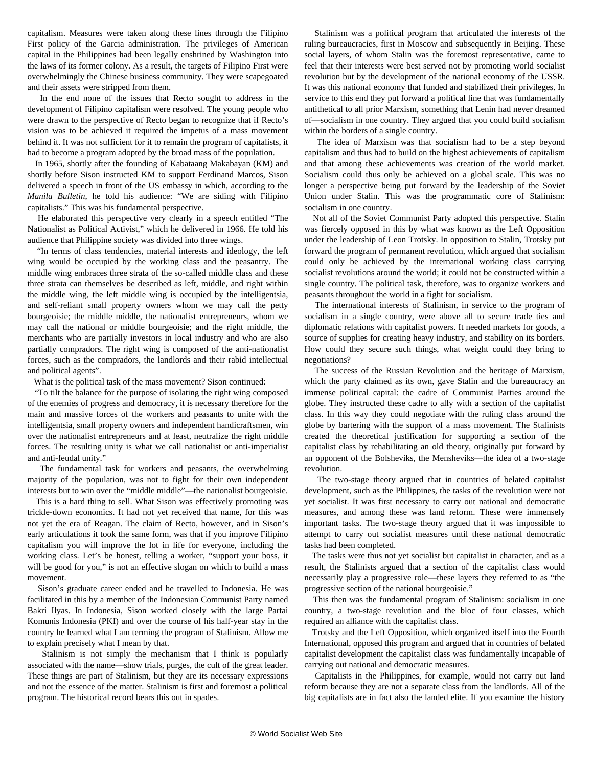capitalism. Measures were taken along these lines through the Filipino First policy of the Garcia administration. The privileges of American capital in the Philippines had been legally enshrined by Washington into the laws of its former colony. As a result, the targets of Filipino First were overwhelmingly the Chinese business community. They were scapegoated and their assets were stripped from them.

 In the end none of the issues that Recto sought to address in the development of Filipino capitalism were resolved. The young people who were drawn to the perspective of Recto began to recognize that if Recto's vision was to be achieved it required the impetus of a mass movement behind it. It was not sufficient for it to remain the program of capitalists, it had to become a program adopted by the broad mass of the population.

 In 1965, shortly after the founding of Kabataang Makabayan (KM) and shortly before Sison instructed KM to support Ferdinand Marcos, Sison delivered a speech in front of the US embassy in which, according to the *Manila Bulletin*, he told his audience: "We are siding with Filipino capitalists." This was his fundamental perspective.

 He elaborated this perspective very clearly in a speech entitled "The Nationalist as Political Activist," which he delivered in 1966. He told his audience that Philippine society was divided into three wings.

 "In terms of class tendencies, material interests and ideology, the left wing would be occupied by the working class and the peasantry. The middle wing embraces three strata of the so-called middle class and these three strata can themselves be described as left, middle, and right within the middle wing, the left middle wing is occupied by the intelligentsia, and self-reliant small property owners whom we may call the petty bourgeoisie; the middle middle, the nationalist entrepreneurs, whom we may call the national or middle bourgeoisie; and the right middle, the merchants who are partially investors in local industry and who are also partially compradors. The right wing is composed of the anti-nationalist forces, such as the compradors, the landlords and their rabid intellectual and political agents".

What is the political task of the mass movement? Sison continued:

 "To tilt the balance for the purpose of isolating the right wing composed of the enemies of progress and democracy, it is necessary therefore for the main and massive forces of the workers and peasants to unite with the intelligentsia, small property owners and independent handicraftsmen, win over the nationalist entrepreneurs and at least, neutralize the right middle forces. The resulting unity is what we call nationalist or anti-imperialist and anti-feudal unity."

 The fundamental task for workers and peasants, the overwhelming majority of the population, was not to fight for their own independent interests but to win over the "middle middle"—the nationalist bourgeoisie.

 This is a hard thing to sell. What Sison was effectively promoting was trickle-down economics. It had not yet received that name, for this was not yet the era of Reagan. The claim of Recto, however, and in Sison's early articulations it took the same form, was that if you improve Filipino capitalism you will improve the lot in life for everyone, including the working class. Let's be honest, telling a worker, "support your boss, it will be good for you," is not an effective slogan on which to build a mass movement.

 Sison's graduate career ended and he travelled to Indonesia. He was facilitated in this by a member of the Indonesian Communist Party named Bakri Ilyas. In Indonesia, Sison worked closely with the large Partai Komunis Indonesia (PKI) and over the course of his half-year stay in the country he learned what I am terming the program of Stalinism. Allow me to explain precisely what I mean by that.

 Stalinism is not simply the mechanism that I think is popularly associated with the name—show trials, purges, the cult of the great leader. These things are part of Stalinism, but they are its necessary expressions and not the essence of the matter. Stalinism is first and foremost a political program. The historical record bears this out in spades.

 Stalinism was a political program that articulated the interests of the ruling bureaucracies, first in Moscow and subsequently in Beijing. These social layers, of whom Stalin was the foremost representative, came to feel that their interests were best served not by promoting world socialist revolution but by the development of the national economy of the USSR. It was this national economy that funded and stabilized their privileges. In service to this end they put forward a political line that was fundamentally antithetical to all prior Marxism, something that Lenin had never dreamed of—socialism in one country. They argued that you could build socialism within the borders of a single country.

 The idea of Marxism was that socialism had to be a step beyond capitalism and thus had to build on the highest achievements of capitalism and that among these achievements was creation of the world market. Socialism could thus only be achieved on a global scale. This was no longer a perspective being put forward by the leadership of the Soviet Union under Stalin. This was the programmatic core of Stalinism: socialism in one country.

 Not all of the Soviet Communist Party adopted this perspective. Stalin was fiercely opposed in this by what was known as the Left Opposition under the leadership of Leon Trotsky. In opposition to Stalin, Trotsky put forward the program of permanent revolution, which argued that socialism could only be achieved by the international working class carrying socialist revolutions around the world; it could not be constructed within a single country. The political task, therefore, was to organize workers and peasants throughout the world in a fight for socialism.

 The international interests of Stalinism, in service to the program of socialism in a single country, were above all to secure trade ties and diplomatic relations with capitalist powers. It needed markets for goods, a source of supplies for creating heavy industry, and stability on its borders. How could they secure such things, what weight could they bring to negotiations?

 The success of the Russian Revolution and the heritage of Marxism, which the party claimed as its own, gave Stalin and the bureaucracy an immense political capital: the cadre of Communist Parties around the globe. They instructed these cadre to ally with a section of the capitalist class. In this way they could negotiate with the ruling class around the globe by bartering with the support of a mass movement. The Stalinists created the theoretical justification for supporting a section of the capitalist class by rehabilitating an old theory, originally put forward by an opponent of the Bolsheviks, the Mensheviks—the idea of a two-stage revolution.

 The two-stage theory argued that in countries of belated capitalist development, such as the Philippines, the tasks of the revolution were not yet socialist. It was first necessary to carry out national and democratic measures, and among these was land reform. These were immensely important tasks. The two-stage theory argued that it was impossible to attempt to carry out socialist measures until these national democratic tasks had been completed.

 The tasks were thus not yet socialist but capitalist in character, and as a result, the Stalinists argued that a section of the capitalist class would necessarily play a progressive role—these layers they referred to as "the progressive section of the national bourgeoisie."

 This then was the fundamental program of Stalinism: socialism in one country, a two-stage revolution and the bloc of four classes, which required an alliance with the capitalist class.

 Trotsky and the Left Opposition, which organized itself into the Fourth International, opposed this program and argued that in countries of belated capitalist development the capitalist class was fundamentally incapable of carrying out national and democratic measures.

 Capitalists in the Philippines, for example, would not carry out land reform because they are not a separate class from the landlords. All of the big capitalists are in fact also the landed elite. If you examine the history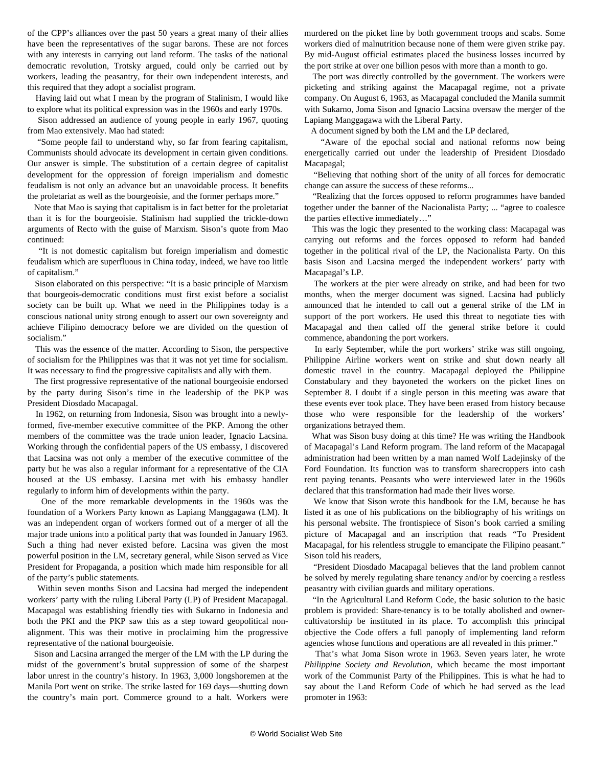of the CPP's alliances over the past 50 years a great many of their allies have been the representatives of the sugar barons. These are not forces with any interests in carrying out land reform. The tasks of the national democratic revolution, Trotsky argued, could only be carried out by workers, leading the peasantry, for their own independent interests, and this required that they adopt a socialist program.

 Having laid out what I mean by the program of Stalinism, I would like to explore what its political expression was in the 1960s and early 1970s.

 Sison addressed an audience of young people in early 1967, quoting from Mao extensively. Mao had stated:

 "Some people fail to understand why, so far from fearing capitalism, Communists should advocate its development in certain given conditions. Our answer is simple. The substitution of a certain degree of capitalist development for the oppression of foreign imperialism and domestic feudalism is not only an advance but an unavoidable process. It benefits the proletariat as well as the bourgeoisie, and the former perhaps more."

 Note that Mao is saying that capitalism is in fact better for the proletariat than it is for the bourgeoisie. Stalinism had supplied the trickle-down arguments of Recto with the guise of Marxism. Sison's quote from Mao continued:

 "It is not domestic capitalism but foreign imperialism and domestic feudalism which are superfluous in China today, indeed, we have too little of capitalism."

 Sison elaborated on this perspective: "It is a basic principle of Marxism that bourgeois-democratic conditions must first exist before a socialist society can be built up. What we need in the Philippines today is a conscious national unity strong enough to assert our own sovereignty and achieve Filipino democracy before we are divided on the question of socialism."

 This was the essence of the matter. According to Sison, the perspective of socialism for the Philippines was that it was not yet time for socialism. It was necessary to find the progressive capitalists and ally with them.

 The first progressive representative of the national bourgeoisie endorsed by the party during Sison's time in the leadership of the PKP was President Diosdado Macapagal.

 In 1962, on returning from Indonesia, Sison was brought into a newlyformed, five-member executive committee of the PKP. Among the other members of the committee was the trade union leader, Ignacio Lacsina. Working through the confidential papers of the US embassy, I discovered that Lacsina was not only a member of the executive committee of the party but he was also a regular informant for a representative of the CIA housed at the US embassy. Lacsina met with his embassy handler regularly to inform him of developments within the party.

 One of the more remarkable developments in the 1960s was the foundation of a Workers Party known as Lapiang Manggagawa (LM). It was an independent organ of workers formed out of a merger of all the major trade unions into a political party that was founded in January 1963. Such a thing had never existed before. Lacsina was given the most powerful position in the LM, secretary general, while Sison served as Vice President for Propaganda, a position which made him responsible for all of the party's public statements.

 Within seven months Sison and Lacsina had merged the independent workers' party with the ruling Liberal Party (LP) of President Macapagal. Macapagal was establishing friendly ties with Sukarno in Indonesia and both the PKI and the PKP saw this as a step toward geopolitical nonalignment. This was their motive in proclaiming him the progressive representative of the national bourgeoisie.

 Sison and Lacsina arranged the merger of the LM with the LP during the midst of the government's brutal suppression of some of the sharpest labor unrest in the country's history. In 1963, 3,000 longshoremen at the Manila Port went on strike. The strike lasted for 169 days—shutting down the country's main port. Commerce ground to a halt. Workers were murdered on the picket line by both government troops and scabs. Some workers died of malnutrition because none of them were given strike pay. By mid-August official estimates placed the business losses incurred by the port strike at over one billion pesos with more than a month to go.

 The port was directly controlled by the government. The workers were picketing and striking against the Macapagal regime, not a private company. On August 6, 1963, as Macapagal concluded the Manila summit with Sukarno, Joma Sison and Ignacio Lacsina oversaw the merger of the Lapiang Manggagawa with the Liberal Party.

A document signed by both the LM and the LP declared,

 "Aware of the epochal social and national reforms now being energetically carried out under the leadership of President Diosdado Macapagal;

 "Believing that nothing short of the unity of all forces for democratic change can assure the success of these reforms...

 "Realizing that the forces opposed to reform programmes have banded together under the banner of the Nacionalista Party; ... "agree to coalesce the parties effective immediately…"

 This was the logic they presented to the working class: Macapagal was carrying out reforms and the forces opposed to reform had banded together in the political rival of the LP, the Nacionalista Party. On this basis Sison and Lacsina merged the independent workers' party with Macapagal's LP.

 The workers at the pier were already on strike, and had been for two months, when the merger document was signed. Lacsina had publicly announced that he intended to call out a general strike of the LM in support of the port workers. He used this threat to negotiate ties with Macapagal and then called off the general strike before it could commence, abandoning the port workers.

 In early September, while the port workers' strike was still ongoing, Philippine Airline workers went on strike and shut down nearly all domestic travel in the country. Macapagal deployed the Philippine Constabulary and they bayoneted the workers on the picket lines on September 8. I doubt if a single person in this meeting was aware that these events ever took place. They have been erased from history because those who were responsible for the leadership of the workers' organizations betrayed them.

 What was Sison busy doing at this time? He was writing the Handbook of Macapagal's Land Reform program. The land reform of the Macapagal administration had been written by a man named Wolf Ladejinsky of the Ford Foundation. Its function was to transform sharecroppers into cash rent paying tenants. Peasants who were interviewed later in the 1960s declared that this transformation had made their lives worse.

 We know that Sison wrote this handbook for the LM, because he has listed it as one of his publications on the bibliography of his writings on his personal website. The frontispiece of Sison's book carried a smiling picture of Macapagal and an inscription that reads "To President Macapagal, for his relentless struggle to emancipate the Filipino peasant." Sison told his readers,

 "President Diosdado Macapagal believes that the land problem cannot be solved by merely regulating share tenancy and/or by coercing a restless peasantry with civilian guards and military operations.

 "In the Agricultural Land Reform Code, the basic solution to the basic problem is provided: Share-tenancy is to be totally abolished and ownercultivatorship be instituted in its place. To accomplish this principal objective the Code offers a full panoply of implementing land reform agencies whose functions and operations are all revealed in this primer."

 That's what Joma Sison wrote in 1963. Seven years later, he wrote *Philippine Society and Revolution*, which became the most important work of the Communist Party of the Philippines. This is what he had to say about the Land Reform Code of which he had served as the lead promoter in 1963: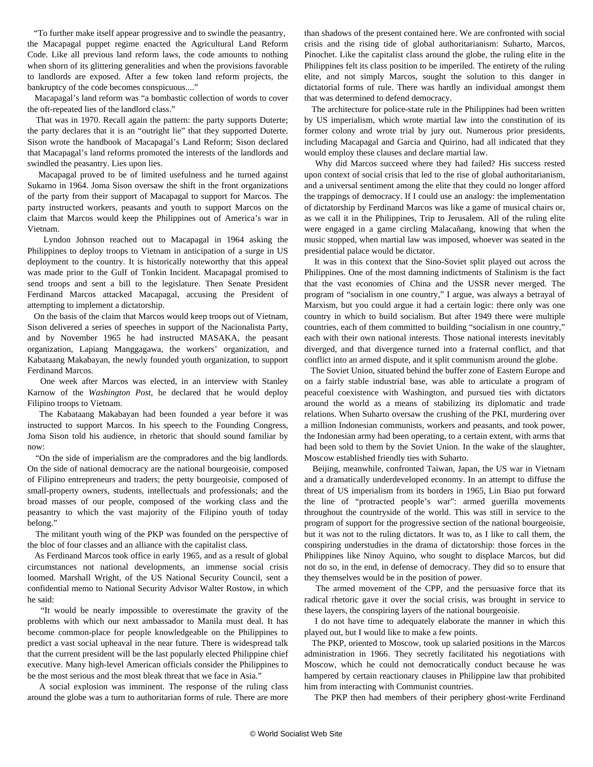"To further make itself appear progressive and to swindle the peasantry, the Macapagal puppet regime enacted the Agricultural Land Reform Code. Like all previous land reform laws, the code amounts to nothing when shorn of its glittering generalities and when the provisions favorable to landlords are exposed. After a few token land reform projects, the bankruptcy of the code becomes conspicuous...."

 Macapagal's land reform was "a bombastic collection of words to cover the oft-repeated lies of the landlord class."

 That was in 1970. Recall again the pattern: the party supports Duterte; the party declares that it is an "outright lie" that they supported Duterte. Sison wrote the handbook of Macapagal's Land Reform; Sison declared that Macapagal's land reforms promoted the interests of the landlords and swindled the peasantry. Lies upon lies.

 Macapagal proved to be of limited usefulness and he turned against Sukarno in 1964. Joma Sison oversaw the shift in the front organizations of the party from their support of Macapagal to support for Marcos. The party instructed workers, peasants and youth to support Marcos on the claim that Marcos would keep the Philippines out of America's war in Vietnam.

 Lyndon Johnson reached out to Macapagal in 1964 asking the Philippines to deploy troops to Vietnam in anticipation of a surge in US deployment to the country. It is historically noteworthy that this appeal was made prior to the Gulf of Tonkin Incident. Macapagal promised to send troops and sent a bill to the legislature. Then Senate President Ferdinand Marcos attacked Macapagal, accusing the President of attempting to implement a dictatorship.

 On the basis of the claim that Marcos would keep troops out of Vietnam, Sison delivered a series of speeches in support of the Nacionalista Party, and by November 1965 he had instructed MASAKA, the peasant organization, Lapiang Manggagawa, the workers' organization, and Kabataang Makabayan, the newly founded youth organization, to support Ferdinand Marcos.

 One week after Marcos was elected, in an interview with Stanley Karnow of the *Washington Post*, he declared that he would deploy Filipino troops to Vietnam.

 The Kabataang Makabayan had been founded a year before it was instructed to support Marcos. In his speech to the Founding Congress, Joma Sison told his audience, in rhetoric that should sound familiar by now:

 "On the side of imperialism are the compradores and the big landlords. On the side of national democracy are the national bourgeoisie, composed of Filipino entrepreneurs and traders; the petty bourgeoisie, composed of small-property owners, students, intellectuals and professionals; and the broad masses of our people, composed of the working class and the peasantry to which the vast majority of the Filipino youth of today belong."

 The militant youth wing of the PKP was founded on the perspective of the bloc of four classes and an alliance with the capitalist class.

 As Ferdinand Marcos took office in early 1965, and as a result of global circumstances not national developments, an immense social crisis loomed. Marshall Wright, of the US National Security Council, sent a confidential memo to National Security Advisor Walter Rostow, in which he said:

 "It would be nearly impossible to overestimate the gravity of the problems with which our next ambassador to Manila must deal. It has become common-place for people knowledgeable on the Philippines to predict a vast social upheaval in the near future. There is widespread talk that the current president will be the last popularly elected Philippine chief executive. Many high-level American officials consider the Philippines to be the most serious and the most bleak threat that we face in Asia."

 A social explosion was imminent. The response of the ruling class around the globe was a turn to authoritarian forms of rule. There are more

than shadows of the present contained here. We are confronted with social crisis and the rising tide of global authoritarianism: Suharto, Marcos, Pinochet. Like the capitalist class around the globe, the ruling elite in the Philippines felt its class position to be imperiled. The entirety of the ruling elite, and not simply Marcos, sought the solution to this danger in dictatorial forms of rule. There was hardly an individual amongst them that was determined to defend democracy.

 The architecture for police-state rule in the Philippines had been written by US imperialism, which wrote martial law into the constitution of its former colony and wrote trial by jury out. Numerous prior presidents, including Macapagal and Garcia and Quirino, had all indicated that they would employ these clauses and declare martial law.

 Why did Marcos succeed where they had failed? His success rested upon context of social crisis that led to the rise of global authoritarianism, and a universal sentiment among the elite that they could no longer afford the trappings of democracy. If I could use an analogy: the implementation of dictatorship by Ferdinand Marcos was like a game of musical chairs or, as we call it in the Philippines, Trip to Jerusalem. All of the ruling elite were engaged in a game circling Malacañang, knowing that when the music stopped, when martial law was imposed, whoever was seated in the presidential palace would be dictator.

 It was in this context that the Sino-Soviet split played out across the Philippines. One of the most damning indictments of Stalinism is the fact that the vast economies of China and the USSR never merged. The program of "socialism in one country," I argue, was always a betrayal of Marxism, but you could argue it had a certain logic: there only was one country in which to build socialism. But after 1949 there were multiple countries, each of them committed to building "socialism in one country," each with their own national interests. Those national interests inevitably diverged, and that divergence turned into a fraternal conflict, and that conflict into an armed dispute, and it split communism around the globe.

 The Soviet Union, situated behind the buffer zone of Eastern Europe and on a fairly stable industrial base, was able to articulate a program of peaceful coexistence with Washington, and pursued ties with dictators around the world as a means of stabilizing its diplomatic and trade relations. When Suharto oversaw the crushing of the PKI, murdering over a million Indonesian communists, workers and peasants, and took power, the Indonesian army had been operating, to a certain extent, with arms that had been sold to them by the Soviet Union. In the wake of the slaughter, Moscow established friendly ties with Suharto.

 Beijing, meanwhile, confronted Taiwan, Japan, the US war in Vietnam and a dramatically underdeveloped economy. In an attempt to diffuse the threat of US imperialism from its borders in 1965, Lin Biao put forward the line of "protracted people's war": armed guerilla movements throughout the countryside of the world. This was still in service to the program of support for the progressive section of the national bourgeoisie, but it was not to the ruling dictators. It was to, as I like to call them, the conspiring understudies in the drama of dictatorship: those forces in the Philippines like Ninoy Aquino, who sought to displace Marcos, but did not do so, in the end, in defense of democracy. They did so to ensure that they themselves would be in the position of power.

 The armed movement of the CPP, and the persuasive force that its radical rhetoric gave it over the social crisis, was brought in service to these layers, the conspiring layers of the national bourgeoisie.

 I do not have time to adequately elaborate the manner in which this played out, but I would like to make a few points.

 The PKP, oriented to Moscow, took up salaried positions in the Marcos administration in 1966. They secretly facilitated his negotiations with Moscow, which he could not democratically conduct because he was hampered by certain reactionary clauses in Philippine law that prohibited him from interacting with Communist countries.

The PKP then had members of their periphery ghost-write Ferdinand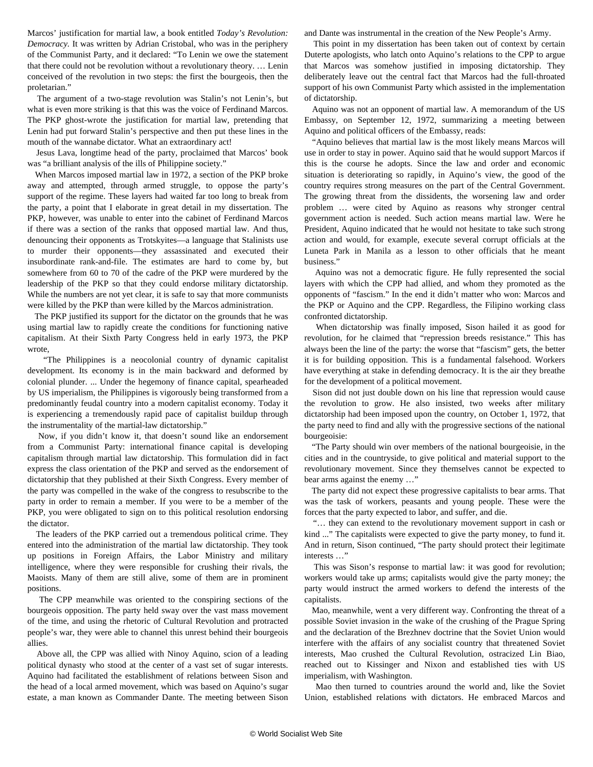Marcos' justification for martial law, a book entitled *Today's Revolution: Democracy.* It was written by Adrian Cristobal, who was in the periphery of the Communist Party, and it declared: "To Lenin we owe the statement that there could not be revolution without a revolutionary theory. … Lenin conceived of the revolution in two steps: the first the bourgeois, then the proletarian."

 The argument of a two-stage revolution was Stalin's not Lenin's, but what is even more striking is that this was the voice of Ferdinand Marcos. The PKP ghost-wrote the justification for martial law, pretending that Lenin had put forward Stalin's perspective and then put these lines in the mouth of the wannabe dictator. What an extraordinary act!

 Jesus Lava, longtime head of the party, proclaimed that Marcos' book was "a brilliant analysis of the ills of Philippine society."

 When Marcos imposed martial law in 1972, a section of the PKP broke away and attempted, through armed struggle, to oppose the party's support of the regime. These layers had waited far too long to break from the party, a point that I elaborate in great detail in my dissertation. The PKP, however, was unable to enter into the cabinet of Ferdinand Marcos if there was a section of the ranks that opposed martial law. And thus, denouncing their opponents as Trotskyites—a language that Stalinists use to murder their opponents—they assassinated and executed their insubordinate rank-and-file. The estimates are hard to come by, but somewhere from 60 to 70 of the cadre of the PKP were murdered by the leadership of the PKP so that they could endorse military dictatorship. While the numbers are not yet clear, it is safe to say that more communists were killed by the PKP than were killed by the Marcos administration.

 The PKP justified its support for the dictator on the grounds that he was using martial law to rapidly create the conditions for functioning native capitalism. At their Sixth Party Congress held in early 1973, the PKP wrote,

 "The Philippines is a neocolonial country of dynamic capitalist development. Its economy is in the main backward and deformed by colonial plunder. ... Under the hegemony of finance capital, spearheaded by US imperialism, the Philippines is vigorously being transformed from a predominantly feudal country into a modern capitalist economy. Today it is experiencing a tremendously rapid pace of capitalist buildup through the instrumentality of the martial-law dictatorship."

 Now, if you didn't know it, that doesn't sound like an endorsement from a Communist Party: international finance capital is developing capitalism through martial law dictatorship. This formulation did in fact express the class orientation of the PKP and served as the endorsement of dictatorship that they published at their Sixth Congress. Every member of the party was compelled in the wake of the congress to resubscribe to the party in order to remain a member. If you were to be a member of the PKP, you were obligated to sign on to this political resolution endorsing the dictator.

 The leaders of the PKP carried out a tremendous political crime. They entered into the administration of the martial law dictatorship. They took up positions in Foreign Affairs, the Labor Ministry and military intelligence, where they were responsible for crushing their rivals, the Maoists. Many of them are still alive, some of them are in prominent positions.

 The CPP meanwhile was oriented to the conspiring sections of the bourgeois opposition. The party held sway over the vast mass movement of the time, and using the rhetoric of Cultural Revolution and protracted people's war, they were able to channel this unrest behind their bourgeois allies.

 Above all, the CPP was allied with Ninoy Aquino, scion of a leading political dynasty who stood at the center of a vast set of sugar interests. Aquino had facilitated the establishment of relations between Sison and the head of a local armed movement, which was based on Aquino's sugar estate, a man known as Commander Dante. The meeting between Sison

and Dante was instrumental in the creation of the New People's Army.

 This point in my dissertation has been taken out of context by certain Duterte apologists, who latch onto Aquino's relations to the CPP to argue that Marcos was somehow justified in imposing dictatorship. They deliberately leave out the central fact that Marcos had the full-throated support of his own Communist Party which assisted in the implementation of dictatorship.

 Aquino was not an opponent of martial law. A memorandum of the US Embassy, on September 12, 1972, summarizing a meeting between Aquino and political officers of the Embassy, reads:

 "Aquino believes that martial law is the most likely means Marcos will use in order to stay in power. Aquino said that he would support Marcos if this is the course he adopts. Since the law and order and economic situation is deteriorating so rapidly, in Aquino's view, the good of the country requires strong measures on the part of the Central Government. The growing threat from the dissidents, the worsening law and order problem … were cited by Aquino as reasons why stronger central government action is needed. Such action means martial law. Were he President, Aquino indicated that he would not hesitate to take such strong action and would, for example, execute several corrupt officials at the Luneta Park in Manila as a lesson to other officials that he meant business."

 Aquino was not a democratic figure. He fully represented the social layers with which the CPP had allied, and whom they promoted as the opponents of "fascism." In the end it didn't matter who won: Marcos and the PKP or Aquino and the CPP. Regardless, the Filipino working class confronted dictatorship.

 When dictatorship was finally imposed, Sison hailed it as good for revolution, for he claimed that "repression breeds resistance." This has always been the line of the party: the worse that "fascism" gets, the better it is for building opposition. This is a fundamental falsehood. Workers have everything at stake in defending democracy. It is the air they breathe for the development of a political movement.

 Sison did not just double down on his line that repression would cause the revolution to grow. He also insisted, two weeks after military dictatorship had been imposed upon the country, on October 1, 1972, that the party need to find and ally with the progressive sections of the national bourgeoisie:

 "The Party should win over members of the national bourgeoisie, in the cities and in the countryside, to give political and material support to the revolutionary movement. Since they themselves cannot be expected to bear arms against the enemy …"

 The party did not expect these progressive capitalists to bear arms. That was the task of workers, peasants and young people. These were the forces that the party expected to labor, and suffer, and die.

 "… they can extend to the revolutionary movement support in cash or kind ..." The capitalists were expected to give the party money, to fund it. And in return, Sison continued, "The party should protect their legitimate interests …"

 This was Sison's response to martial law: it was good for revolution; workers would take up arms; capitalists would give the party money; the party would instruct the armed workers to defend the interests of the capitalists.

 Mao, meanwhile, went a very different way. Confronting the threat of a possible Soviet invasion in the wake of the crushing of the Prague Spring and the declaration of the Brezhnev doctrine that the Soviet Union would interfere with the affairs of any socialist country that threatened Soviet interests, Mao crushed the Cultural Revolution, ostracized Lin Biao, reached out to Kissinger and Nixon and established ties with US imperialism, with Washington.

 Mao then turned to countries around the world and, like the Soviet Union, established relations with dictators. He embraced Marcos and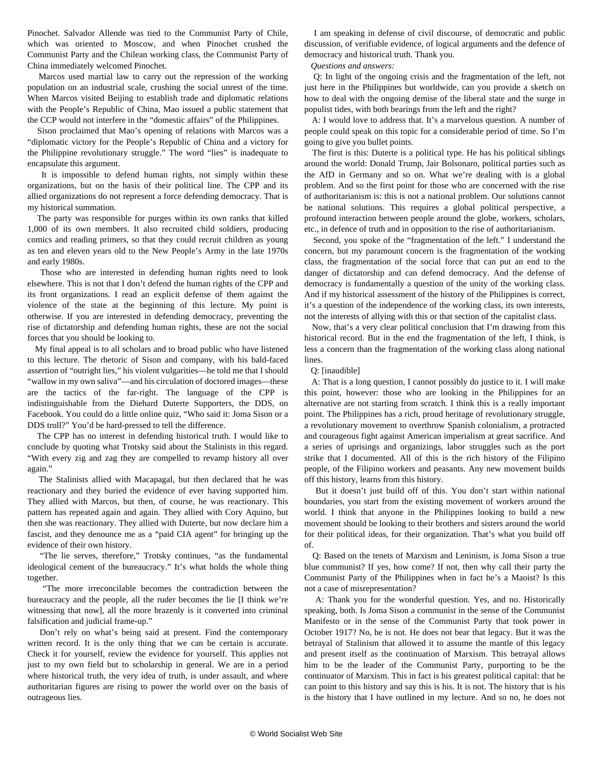Pinochet. Salvador Allende was tied to the Communist Party of Chile, which was oriented to Moscow, and when Pinochet crushed the Communist Party and the Chilean working class, the Communist Party of China immediately welcomed Pinochet.

 Marcos used martial law to carry out the repression of the working population on an industrial scale, crushing the social unrest of the time. When Marcos visited Beijing to establish trade and diplomatic relations with the People's Republic of China, Mao issued a public statement that the CCP would not interfere in the "domestic affairs" of the Philippines.

 Sison proclaimed that Mao's opening of relations with Marcos was a "diplomatic victory for the People's Republic of China and a victory for the Philippine revolutionary struggle." The word "lies" is inadequate to encapsulate this argument.

 It is impossible to defend human rights, not simply within these organizations, but on the basis of their political line. The CPP and its allied organizations do not represent a force defending democracy. That is my historical summation.

 The party was responsible for purges within its own ranks that killed 1,000 of its own members. It also recruited child soldiers, producing comics and reading primers, so that they could recruit children as young as ten and eleven years old to the New People's Army in the late 1970s and early 1980s.

 Those who are interested in defending human rights need to look elsewhere. This is not that I don't defend the human rights of the CPP and its front organizations. I read an explicit defense of them against the violence of the state at the beginning of this lecture. My point is otherwise. If you are interested in defending democracy, preventing the rise of dictatorship and defending human rights, these are not the social forces that you should be looking to.

 My final appeal is to all scholars and to broad public who have listened to this lecture. The rhetoric of Sison and company, with his bald-faced assertion of "outright lies," his violent vulgarities—he told me that I should "wallow in my own saliva"—and his circulation of doctored images—these are the tactics of the far-right. The language of the CPP is indistinguishable from the Diehard Duterte Supporters, the DDS, on Facebook. You could do a little online quiz, "Who said it: Joma Sison or a DDS troll?" You'd be hard-pressed to tell the difference.

 The CPP has no interest in defending historical truth. I would like to conclude by quoting what Trotsky said about the Stalinists in this regard. "With every zig and zag they are compelled to revamp history all over again."

 The Stalinists allied with Macapagal, but then declared that he was reactionary and they buried the evidence of ever having supported him. They allied with Marcos, but then, of course, he was reactionary. This pattern has repeated again and again. They allied with Cory Aquino, but then she was reactionary. They allied with Duterte, but now declare him a fascist, and they denounce me as a "paid CIA agent" for bringing up the evidence of their own history.

 "The lie serves, therefore," Trotsky continues, "as the fundamental ideological cement of the bureaucracy." It's what holds the whole thing together.

 "The more irreconcilable becomes the contradiction between the bureaucracy and the people, all the ruder becomes the lie [I think we're witnessing that now], all the more brazenly is it converted into criminal falsification and judicial frame-up."

 Don't rely on what's being said at present. Find the contemporary written record. It is the only thing that we can be certain is accurate. Check it for yourself, review the evidence for yourself. This applies not just to my own field but to scholarship in general. We are in a period where historical truth, the very idea of truth, is under assault, and where authoritarian figures are rising to power the world over on the basis of outrageous lies.

 I am speaking in defense of civil discourse, of democratic and public discussion, of verifiable evidence, of logical arguments and the defence of democracy and historical truth. Thank you.

#### *Questions and answers:*

 Q: In light of the ongoing crisis and the fragmentation of the left, not just here in the Philippines but worldwide, can you provide a sketch on how to deal with the ongoing demise of the liberal state and the surge in populist tides, with both bearings from the left and the right?

 A: I would love to address that. It's a marvelous question. A number of people could speak on this topic for a considerable period of time. So I'm going to give you bullet points.

 The first is this: Duterte is a political type. He has his political siblings around the world: Donald Trump, Jair Bolsonaro, political parties such as the AfD in Germany and so on. What we're dealing with is a global problem. And so the first point for those who are concerned with the rise of authoritarianism is: this is not a national problem. Our solutions cannot be national solutions. This requires a global political perspective, a profound interaction between people around the globe, workers, scholars, etc., in defence of truth and in opposition to the rise of authoritarianism.

 Second, you spoke of the "fragmentation of the left." I understand the concern, but my paramount concern is the fragmentation of the working class, the fragmentation of the social force that can put an end to the danger of dictatorship and can defend democracy. And the defense of democracy is fundamentally a question of the unity of the working class. And if my historical assessment of the history of the Philippines is correct, it's a question of the independence of the working class, its own interests, not the interests of allying with this or that section of the capitalist class.

 Now, that's a very clear political conclusion that I'm drawing from this historical record. But in the end the fragmentation of the left, I think, is less a concern than the fragmentation of the working class along national lines.

#### Q: [inaudible]

 A: That is a long question, I cannot possibly do justice to it. I will make this point, however: those who are looking in the Philippines for an alternative are not starting from scratch. I think this is a really important point. The Philippines has a rich, proud heritage of revolutionary struggle, a revolutionary movement to overthrow Spanish colonialism, a protracted and courageous fight against American imperialism at great sacrifice. And a series of uprisings and organizings, labor struggles such as the port strike that I documented. All of this is the rich history of the Filipino people, of the Filipino workers and peasants. Any new movement builds off this history, learns from this history.

 But it doesn't just build off of this. You don't start within national boundaries, you start from the existing movement of workers around the world. I think that anyone in the Philippines looking to build a new movement should be looking to their brothers and sisters around the world for their political ideas, for their organization. That's what you build off of.

 Q: Based on the tenets of Marxism and Leninism, is Joma Sison a true blue communist? If yes, how come? If not, then why call their party the Communist Party of the Philippines when in fact he's a Maoist? Is this not a case of misrepresentation?

 A: Thank you for the wonderful question. Yes, and no. Historically speaking, both. Is Joma Sison a communist in the sense of the Communist Manifesto or in the sense of the Communist Party that took power in October 1917? No, he is not. He does not bear that legacy. But it was the betrayal of Stalinism that allowed it to assume the mantle of this legacy and present itself as the continuation of Marxism. This betrayal allows him to be the leader of the Communist Party, purporting to be the continuator of Marxism. This in fact is his greatest political capital: that he can point to this history and say this is his. It is not. The history that is his is the history that I have outlined in my lecture. And so no, he does not